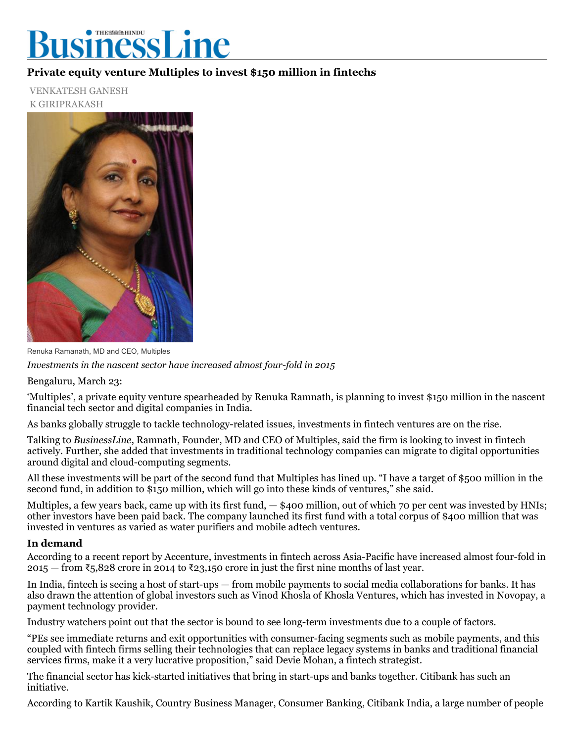## ● THES編集HINDU usinessLine

## Private equity venture Multiples to invest \$150 million in fintechs

VENKATESH GANESH K GIRIPRAKASH



Renuka Ramanath, MD and CEO, Multiples

Investments in the nascent sector have increased almost four-fold in  $2015$ 

Bengaluru, March 23:

'Multiples', a private equity venture spearheaded by Renuka Ramnath, is planning to invest \$150 million in the nascent financial tech sector and digital companies in India.

As banks globally struggle to tackle technology-related issues, investments in fintech ventures are on the rise.

Talking to BusinessLine, Ramnath, Founder, MD and CEO of Multiples, said the firm is looking to invest in fintech actively. Further, she added that investments in traditional technology companies can migrate to digital opportunities around digital and cloud-computing segments.

All these investments will be part of the second fund that Multiples has lined up. "I have a target of \$500 million in the second fund, in addition to \$150 million, which will go into these kinds of ventures," she said.

Multiples, a few years back, came up with its first fund, — \$400 million, out of which 70 per cent was invested by HNIs; other investors have been paid back. The company launched its first fund with a total corpus of \$400 million that was invested in ventures as varied as water purifiers and mobile adtech ventures.

## In demand

According to a recent report by Accenture, investments in fintech across Asia-Pacific have increased almost four-fold in 2015 — from ₹5,828 crore in 2014 to ₹23,150 crore in just the first nine months of last year.

In India, fintech is seeing a host of start-ups  $-$  from mobile payments to social media collaborations for banks. It has also drawn the attention of global investors such as Vinod Khosla of Khosla Ventures, which has invested in Novopay, a payment technology provider.

Industry watchers point out that the sector is bound to see long-term investments due to a couple of factors.

"PEs see immediate returns and exit opportunities with consumer-facing segments such as mobile payments, and this coupled with fintech firms selling their technologies that can replace legacy systems in banks and traditional financial services firms, make it a very lucrative proposition," said Devie Mohan, a fintech strategist.

The financial sector has kick-started initiatives that bring in start-ups and banks together. Citibank has such an initiative.

According to Kartik Kaushik, Country Business Manager, Consumer Banking, Citibank India, a large number of people